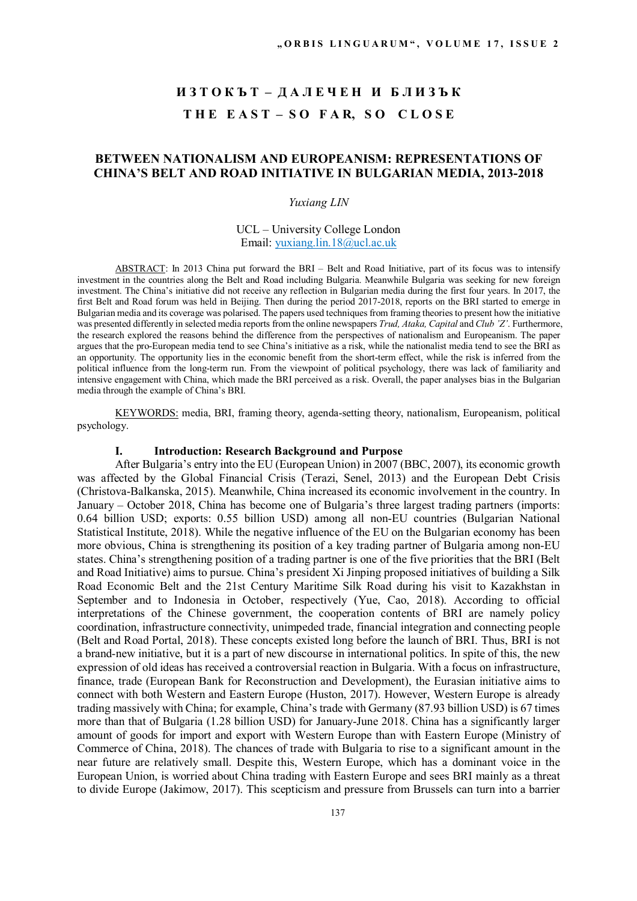# **И З Т О К Ъ Т – Д А Л Е Ч Е Н И Б Л И З Ъ К T H E E A S T – S O F A R, S O C L O S E**

## **BETWEEN NATIONALISM AND EUROPEANISM: REPRESENTATIONS OF CHINA'S BELT AND ROAD INITIATIVE IN BULGARIAN MEDIA, 2013-2018**

#### *Yuxiang LIN*

### UCL – University College London Email: yuxiang.lin.18@ucl.ac.uk

ABSTRACT: In 2013 China put forward the BRI – Belt and Road Initiative, part of its focus was to intensify investment in the countries along the Belt and Road including Bulgaria. Meanwhile Bulgaria was seeking for new foreign investment. The China's initiative did not receive any reflection in Bulgarian media during the first four years. In 2017, the first Belt and Road forum was held in Beijing. Then during the period 2017-2018, reports on the BRI started to emerge in Bulgarian media and its coverage was polarised. The papers used techniques from framing theories to present how the initiative was presented differently in selected media reports from the online newspapers *Trud, Ataka, Capital* and *Club 'Z'*. Furthermore, the research explored the reasons behind the difference from the perspectives of nationalism and Europeanism. The paper argues that the pro-European media tend to see China's initiative as a risk, while the nationalist media tend to see the BRI as an opportunity. The opportunity lies in the economic benefit from the short-term effect, while the risk is inferred from the political influence from the long-term run. From the viewpoint of political psychology, there was lack of familiarity and intensive engagement with China, which made the BRI perceived as a risk. Overall, the paper analyses bias in the Bulgarian media through the example of China's BRI.

KEYWORDS: media, BRI, framing theory, agenda-setting theory, nationalism, Europeanism, political psychology.

### **I. Introduction: Research Background and Purpose**

After Bulgaria's entry into the EU (European Union) in 2007 (BBC, 2007), its economic growth was affected by the Global Financial Crisis (Terazi, Senel, 2013) and the European Debt Crisis (Christova-Balkanska, 2015). Meanwhile, China increased its economic involvement in the country. In January – October 2018, China has become one of Bulgaria's three largest trading partners (imports: 0.64 billion USD; exports: 0.55 billion USD) among all non-EU countries (Bulgarian National Statistical Institute, 2018). While the negative influence of the EU on the Bulgarian economy has been more obvious, China is strengthening its position of a key trading partner of Bulgaria among non-EU states. China's strengthening position of a trading partner is one of the five priorities that the BRI (Belt and Road Initiative) aims to pursue. China's president Xi Jinping proposed initiatives of building a Silk Road Economic Belt and the 21st Century Maritime Silk Road during his visit to Kazakhstan in September and to Indonesia in October, respectively (Yue, Cao, 2018). According to official interpretations of the Chinese government, the cooperation contents of BRI are namely policy coordination, infrastructure connectivity, unimpeded trade, financial integration and connecting people (Belt and Road Portal, 2018). These concepts existed long before the launch of BRI. Thus, BRI is not a brand-new initiative, but it is a part of new discourse in international politics. In spite of this, the new expression of old ideas has received a controversial reaction in Bulgaria. With a focus on infrastructure, finance, trade (European Bank for Reconstruction and Development), the Eurasian initiative aims to connect with both Western and Eastern Europe (Huston, 2017). However, Western Europe is already trading massively with China; for example, China's trade with Germany (87.93 billion USD) is 67 times more than that of Bulgaria (1.28 billion USD) for January-June 2018. China has a significantly larger amount of goods for import and export with Western Europe than with Eastern Europe (Ministry of Commerce of China, 2018). The chances of trade with Bulgaria to rise to a significant amount in the near future are relatively small. Despite this, Western Europe, which has a dominant voice in the European Union, is worried about China trading with Eastern Europe and sees BRI mainly as a threat to divide Europe (Jakimow, 2017). This scepticism and pressure from Brussels can turn into a barrier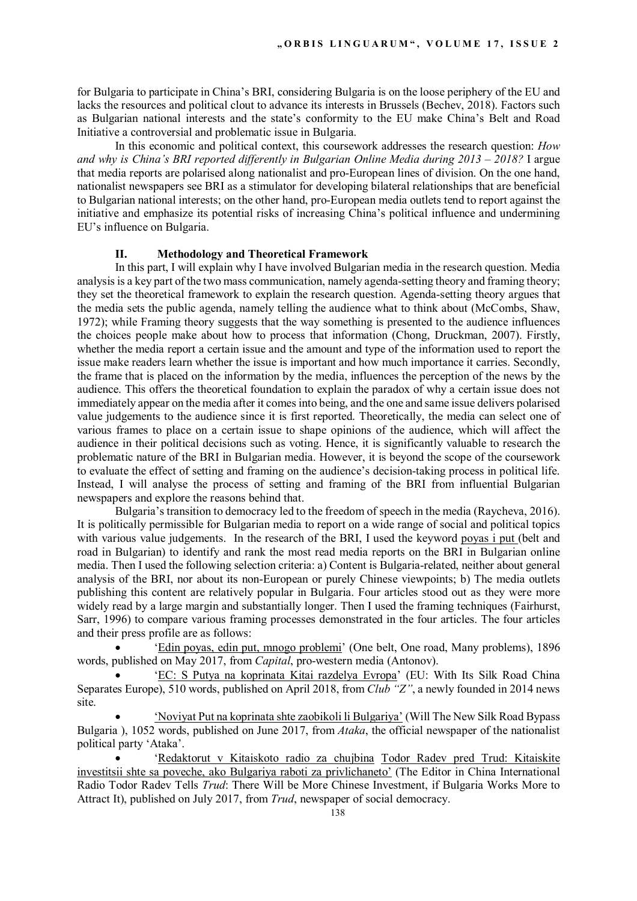for Bulgaria to participate in China's BRI, considering Bulgaria is on the loose periphery of the EU and lacks the resources and political clout to advance its interests in Brussels (Bechev, 2018). Factors such as Bulgarian national interests and the state's conformity to the EU make China's Belt and Road Initiative a controversial and problematic issue in Bulgaria.

In this economic and political context, this coursework addresses the research question: *How and why is China's BRI reported differently in Bulgarian Online Media during 2013 – 2018?* I argue that media reports are polarised along nationalist and pro-European lines of division. On the one hand, nationalist newspapers see BRI as a stimulator for developing bilateral relationships that are beneficial to Bulgarian national interests; on the other hand, pro-European media outlets tend to report against the initiative and emphasize its potential risks of increasing China's political influence and undermining EU's influence on Bulgaria.

#### **II. Methodology and Theoretical Framework**

In this part, I will explain why I have involved Bulgarian media in the research question. Media analysis is a key part of the two mass communication, namely agenda-setting theory and framing theory; they set the theoretical framework to explain the research question. Agenda-setting theory argues that the media sets the public agenda, namely telling the audience what to think about (McCombs, Shaw, 1972); while Framing theory suggests that the way something is presented to the audience influences the choices people make about how to process that information (Chong, Druckman, 2007). Firstly, whether the media report a certain issue and the amount and type of the information used to report the issue make readers learn whether the issue is important and how much importance it carries. Secondly, the frame that is placed on the information by the media, influences the perception of the news by the audience. This offers the theoretical foundation to explain the paradox of why a certain issue does not immediately appear on the media after it comes into being, and the one and same issue delivers polarised value judgements to the audience since it is first reported. Theoretically, the media can select one of various frames to place on a certain issue to shape opinions of the audience, which will affect the audience in their political decisions such as voting. Hence, it is significantly valuable to research the problematic nature of the BRI in Bulgarian media. However, it is beyond the scope of the coursework to evaluate the effect of setting and framing on the audience's decision-taking process in political life. Instead, I will analyse the process of setting and framing of the BRI from influential Bulgarian newspapers and explore the reasons behind that.

Bulgaria's transition to democracy led to the freedom of speech in the media (Raycheva, 2016). It is politically permissible for Bulgarian media to report on a wide range of social and political topics with various value judgements. In the research of the BRI, I used the keyword poyas i put (belt and road in Bulgarian) to identify and rank the most read media reports on the BRI in Bulgarian online media. Then I used the following selection criteria: a) Content is Bulgaria-related, neither about general analysis of the BRI, nor about its non-European or purely Chinese viewpoints; b) The media outlets publishing this content are relatively popular in Bulgaria. Four articles stood out as they were more widely read by a large margin and substantially longer. Then I used the framing techniques (Fairhurst, Sarr, 1996) to compare various framing processes demonstrated in the four articles. The four articles and their press profile are as follows:

 'Edin poyas, edin put, mnogo problemi' (One belt, One road, Many problems), 1896 words, published on May 2017, from *Capital*, pro-western media (Antonov).

 'EC: S Putya na koprinata Kitai razdelya Evropa' (EU: With Its Silk Road China Separates Europe), 510 words, published on April 2018, from *Club "Z"*, a newly founded in 2014 news site.

 'Noviyat Put na koprinata shte zaobikoli li Bulgariya' (Will The New Silk Road Bypass Bulgaria ), 1052 words, published on June 2017, from *Ataka*, the official newspaper of the nationalist political party 'Ataka'.

 'Redaktorut v Kitaiskoto radio za chujbina Todor Radev pred Trud: Kitaiskite investitsii shte sa poveche, ako Bulgariya raboti za privlichaneto' (The Editor in China International Radio Todor Radev Tells *Trud*: There Will be More Chinese Investment, if Bulgaria Works More to Attract It), published on July 2017, from *Trud*, newspaper of social democracy.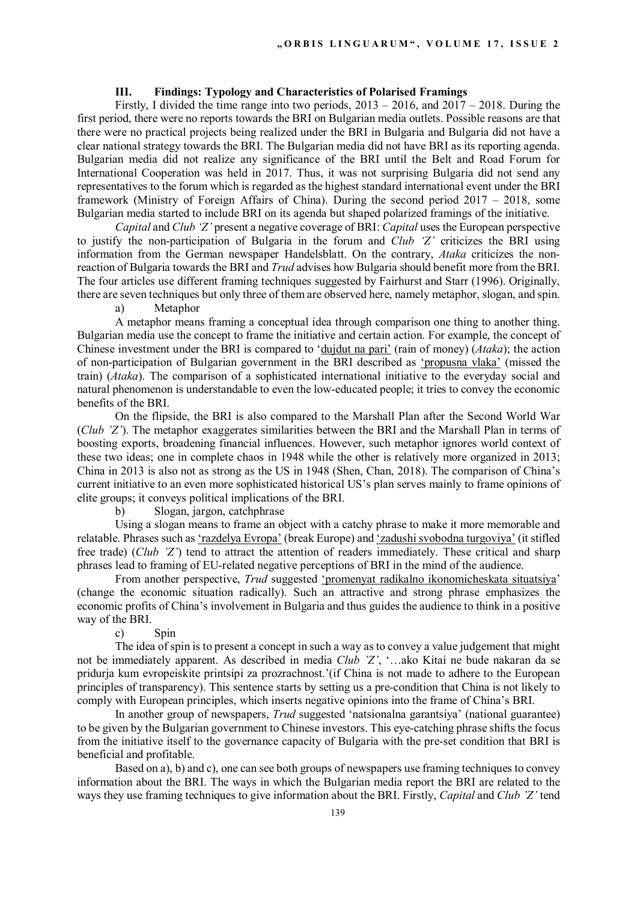## **III. Findings: Typology and Characteristics of Polarised Framings**

Firstly, I divided the time range into two periods, 2013 – 2016, and 2017 – 2018. During the first period, there were no reports towards the BRI on Bulgarian media outlets. Possible reasons are that there were no practical projects being realized under the BRI in Bulgaria and Bulgaria did not have a clear national strategy towards the BRI. The Bulgarian media did not have BRI as its reporting agenda. Bulgarian media did not realize any significance of the BRI until the Belt and Road Forum for International Cooperation was held in 2017. Thus, it was not surprising Bulgaria did not send any representatives to the forum which is regarded as the highest standard international event under the BRI framework (Ministry of Foreign Affairs of China). During the second period 2017 – 2018, some Bulgarian media started to include BRI on its agenda but shaped polarized framings of the initiative.

*Capital* and *Club 'Z'* present a negative coverage of BRI: *Capital* uses the European perspective to justify the non-participation of Bulgaria in the forum and *Club 'Z'* criticizes the BRI using information from the German newspaper Handelsblatt. On the contrary, *Ataka* criticizes the nonreaction of Bulgaria towards the BRI and *Trud* advises how Bulgaria should benefit more from the BRI. The four articles use different framing techniques suggested by Fairhurst and Starr (1996). Originally, there are seven techniques but only three of them are observed here, namely metaphor, slogan, and spin.

a) Metaphor

A metaphor means framing a conceptual idea through comparison one thing to another thing. Bulgarian media use the concept to frame the initiative and certain action. For example, the concept of Chinese investment under the BRI is compared to 'dujdut na pari' (rain of money) (*Ataka*); the action of non-participation of Bulgarian government in the BRI described as 'propusna vlaka' (missed the train) (*Ataka*). The comparison of a sophisticated international initiative to the everyday social and natural phenomenon is understandable to even the low-educated people; it tries to convey the economic benefits of the BRI.

On the flipside, the BRI is also compared to the Marshall Plan after the Second World War (*Club 'Z'*). The metaphor exaggerates similarities between the BRI and the Marshall Plan in terms of boosting exports, broadening financial influences. However, such metaphor ignores world context of these two ideas; one in complete chaos in 1948 while the other is relatively more organized in 2013; China in 2013 is also not as strong as the US in 1948 (Shen, Chan, 2018). The comparison of China's current initiative to an even more sophisticated historical US's plan serves mainly to frame opinions of elite groups; it conveys political implications of the BRI.

b) Slogan, jargon, catchphrase

Using a slogan means to frame an object with a catchy phrase to make it more memorable and relatable. Phrases such as 'razdelya Evropa' (break Europe) and 'zadushi svobodna turgoviya' (it stifled free trade) (*Club 'Z'*) tend to attract the attention of readers immediately. These critical and sharp phrases lead to framing of EU-related negative perceptions of BRI in the mind of the audience.

From another perspective, *Trud* suggested 'promenyat radikalno ikonomicheskata situatsiya' (change the economic situation radically). Such an attractive and strong phrase emphasizes the economic profits of China's involvement in Bulgaria and thus guides the audience to think in a positive way of the BRI.

#### c) Spin

The idea of spin is to present a concept in such a way as to convey a value judgement that might not be immediately apparent. As described in media *Club 'Z'*, '…ako Kitai ne bude nakaran da se pridurja kum evropeiskite printsipi za prozrachnost.'(if China is not made to adhere to the European principles of transparency). This sentence starts by setting us a pre-condition that China is not likely to comply with European principles, which inserts negative opinions into the frame of China's BRI.

In another group of newspapers, *Trud* suggested 'natsionalna garantsiya' (national guarantee) to be given by the Bulgarian government to Chinese investors. This eye-catching phrase shifts the focus from the initiative itself to the governance capacity of Bulgaria with the pre-set condition that BRI is beneficial and profitable.

Based on a), b) and c), one can see both groups of newspapers use framing techniques to convey information about the BRI. The ways in which the Bulgarian media report the BRI are related to the ways they use framing techniques to give information about the BRI. Firstly, *Capital* and *Club 'Z'* tend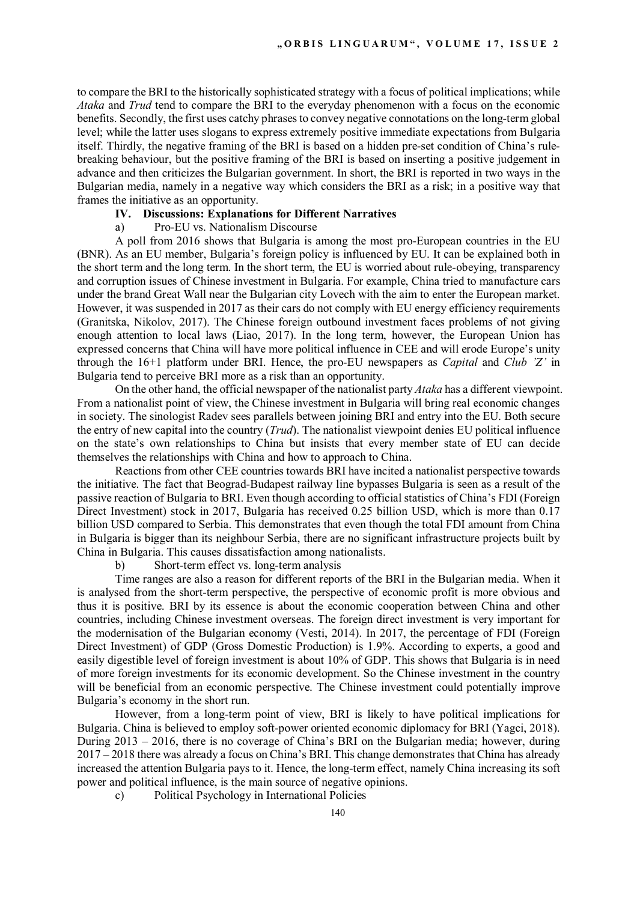to compare the BRI to the historically sophisticated strategy with a focus of political implications; while *Ataka* and *Trud* tend to compare the BRI to the everyday phenomenon with a focus on the economic benefits. Secondly, the first uses catchy phrases to convey negative connotations on the long-term global level; while the latter uses slogans to express extremely positive immediate expectations from Bulgaria itself. Thirdly, the negative framing of the BRI is based on a hidden pre-set condition of China's rulebreaking behaviour, but the positive framing of the BRI is based on inserting a positive judgement in advance and then criticizes the Bulgarian government. In short, the BRI is reported in two ways in the Bulgarian media, namely in a negative way which considers the BRI as a risk; in a positive way that frames the initiative as an opportunity.

#### **IV. Discussions: Explanations for Different Narratives**

a) Pro-EU vs. Nationalism Discourse

A poll from 2016 shows that Bulgaria is among the most pro-European countries in the EU (BNR). As an EU member, Bulgaria's foreign policy is influenced by EU. It can be explained both in the short term and the long term. In the short term, the EU is worried about rule-obeying, transparency and corruption issues of Chinese investment in Bulgaria. For example, China tried to manufacture cars under the brand Great Wall near the Bulgarian city Lovech with the aim to enter the European market. However, it was suspended in 2017 as their cars do not comply with EU energy efficiency requirements (Granitska, Nikolov, 2017). The Chinese foreign outbound investment faces problems of not giving enough attention to local laws (Liao, 2017). In the long term, however, the European Union has expressed concerns that China will have more political influence in CEE and will erode Europe's unity through the 16+1 platform under BRI. Hence, the pro-EU newspapers as *Capital* and *Club 'Z'* in Bulgaria tend to perceive BRI more as a risk than an opportunity.

On the other hand, the official newspaper of the nationalist party *Ataka* has a different viewpoint. From a nationalist point of view, the Chinese investment in Bulgaria will bring real economic changes in society. The sinologist Radev sees parallels between joining BRI and entry into the EU. Both secure the entry of new capital into the country (*Trud*). The nationalist viewpoint denies EU political influence on the state's own relationships to China but insists that every member state of EU can decide themselves the relationships with China and how to approach to China.

Reactions from other CEE countries towards BRI have incited a nationalist perspective towards the initiative. The fact that Beograd-Budapest railway line bypasses Bulgaria is seen as a result of the passive reaction of Bulgaria to BRI. Even though according to official statistics of China's FDI (Foreign Direct Investment) stock in 2017, Bulgaria has received 0.25 billion USD, which is more than 0.17 billion USD compared to Serbia. This demonstrates that even though the total FDI amount from China in Bulgaria is bigger than its neighbour Serbia, there are no significant infrastructure projects built by China in Bulgaria. This causes dissatisfaction among nationalists.

b) Short-term effect vs. long-term analysis

Time ranges are also a reason for different reports of the BRI in the Bulgarian media. When it is analysed from the short-term perspective, the perspective of economic profit is more obvious and thus it is positive. BRI by its essence is about the economic cooperation between China and other countries, including Chinese investment overseas. The foreign direct investment is very important for the modernisation of the Bulgarian economy (Vesti, 2014). In 2017, the percentage of FDI (Foreign Direct Investment) of GDP (Gross Domestic Production) is 1.9%. According to experts, a good and easily digestible level of foreign investment is about 10% of GDP. This shows that Bulgaria is in need of more foreign investments for its economic development. So the Chinese investment in the country will be beneficial from an economic perspective. The Chinese investment could potentially improve Bulgaria's economy in the short run.

However, from a long-term point of view, BRI is likely to have political implications for Bulgaria. China is believed to employ soft-power oriented economic diplomacy for BRI (Yagci, 2018). During 2013 – 2016, there is no coverage of China's BRI on the Bulgarian media; however, during 2017 – 2018 there was already a focus on China's BRI. This change demonstrates that China has already increased the attention Bulgaria pays to it. Hence, the long-term effect, namely China increasing its soft power and political influence, is the main source of negative opinions.

c) Political Psychology in International Policies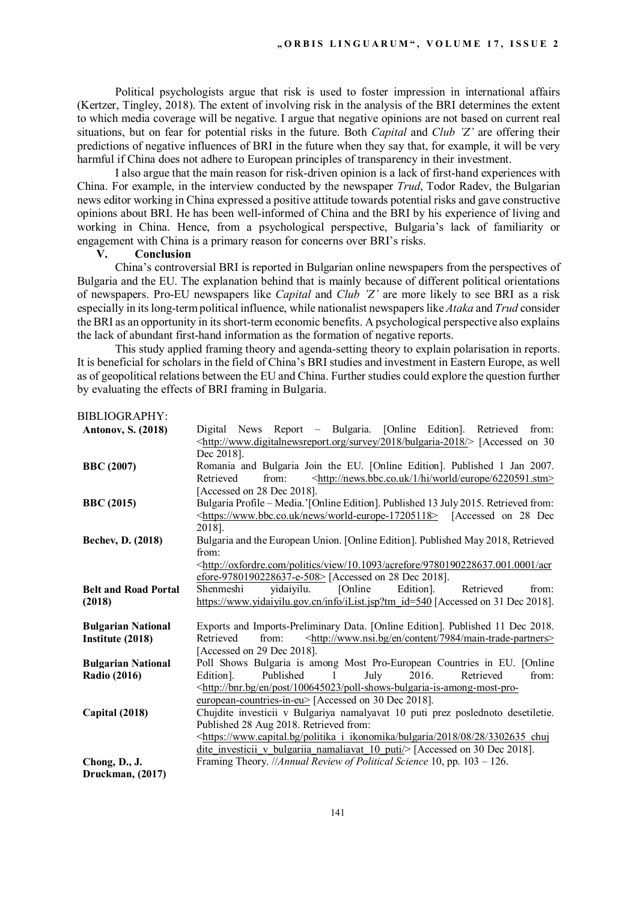Political psychologists argue that risk is used to foster impression in international affairs (Kertzer, Tingley, 2018). The extent of involving risk in the analysis of the BRI determines the extent to which media coverage will be negative. I argue that negative opinions are not based on current real situations, but on fear for potential risks in the future. Both *Capital* and *Club 'Z'* are offering their predictions of negative influences of BRI in the future when they say that, for example, it will be very harmful if China does not adhere to European principles of transparency in their investment.

I also argue that the main reason for risk-driven opinion is a lack of first-hand experiences with China. For example, in the interview conducted by the newspaper *Trud*, Todor Radev, the Bulgarian news editor working in China expressed a positive attitude towards potential risks and gave constructive opinions about BRI. He has been well-informed of China and the BRI by his experience of living and working in China. Hence, from a psychological perspective, Bulgaria's lack of familiarity or engagement with China is a primary reason for concerns over BRI's risks.

#### **V. Conclusion**

China's controversial BRI is reported in Bulgarian online newspapers from the perspectives of Bulgaria and the EU. The explanation behind that is mainly because of different political orientations of newspapers. Pro-EU newspapers like *Capital* and *Club 'Z'* are more likely to see BRI as a risk especially in its long-term political influence, while nationalist newspapers like *Ataka* and *Trud* consider the BRI as an opportunity in its short-term economic benefits. A psychological perspective also explains the lack of abundant first-hand information as the formation of negative reports.

This study applied framing theory and agenda-setting theory to explain polarisation in reports. It is beneficial for scholars in the field of China's BRI studies and investment in Eastern Europe, as well as of geopolitical relations between the EU and China. Further studies could explore the question further by evaluating the effects of BRI framing in Bulgaria.

BIBLIOGRAPHY:

| <b>Antonov, S. (2018)</b>   | Digital News Report - Bulgaria. [Online Edition]. Retrieved<br>from:                                               |
|-----------------------------|--------------------------------------------------------------------------------------------------------------------|
|                             | <http: 2018="" bulgaria-2018="" survey="" www.digitalnewsreport.org=""></http:> [Accessed on 30                    |
|                             | Dec 2018].                                                                                                         |
| <b>BBC</b> (2007)           | Romania and Bulgaria Join the EU. [Online Edition]. Published 1 Jan 2007.                                          |
|                             | from:<br><http: 1="" 6220591.stm="" europe="" hi="" news.bbc.co.uk="" world=""><br/>Retrieved</http:>              |
|                             | [Accessed on 28 Dec 2018].                                                                                         |
| <b>BBC</b> (2015)           | Bulgaria Profile – Media.'[Online Edition]. Published 13 July 2015. Retrieved from:                                |
|                             | <https: news="" world-europe-17205118="" www.bbc.co.uk=""> [Accessed on 28 Dec</https:>                            |
|                             | 2018].                                                                                                             |
| Bechev, D. (2018)           | Bulgaria and the European Union. [Online Edition]. Published May 2018, Retrieved                                   |
|                             | from:                                                                                                              |
|                             | <http: 10.1093="" 9780190228637.001.0001="" acr<="" acrefore="" oxfordre.com="" politics="" th="" view=""></http:> |
|                             | efore-9780190228637-e-508> [Accessed on 28 Dec 2018].                                                              |
| <b>Belt and Road Portal</b> | yidaiyilu.<br>[Online]<br>Shenmeshi<br>Edition].<br>Retrieved<br>from:                                             |
| (2018)                      | https://www.yidaiyilu.gov.cn/info/iList.jsp?tm_id=540 [Accessed on 31 Dec 2018].                                   |
|                             |                                                                                                                    |
| <b>Bulgarian National</b>   | Exports and Imports-Preliminary Data. [Online Edition]. Published 11 Dec 2018.                                     |
| Institute (2018)            | from:<br><http: 7984="" content="" en="" main-trade-partners="" www.nsi.bg=""><br/>Retrieved</http:>               |
|                             | [Accessed on 29 Dec 2018].                                                                                         |
| <b>Bulgarian National</b>   | Poll Shows Bulgaria is among Most Pro-European Countries in EU. [Online                                            |
| <b>Radio (2016)</b>         | Published<br>2016.<br>Retrieved<br>from:<br>Edition].<br>July<br>-1                                                |
|                             | <http: 100645023="" bnr.bg="" en="" poll-shows-bulgaria-is-among-most-pro-<="" post="" th=""></http:>              |
|                             | european-countries-in-eu> [Accessed on 30 Dec 2018].                                                               |
| Capital (2018)              | Chujdite investicii v Bulgariya namalyavat 10 puti prez poslednoto desetiletie.                                    |
|                             | Published 28 Aug 2018. Retrieved from:                                                                             |
|                             | https://www.capital.bg/politika i ikonomika/bulgaria/2018/08/28/3302635 chuj                                       |
|                             | dite investicii v bulgariia namaliavat 10 puti/> [Accessed on 30 Dec 2018].                                        |
| Chong, D., J.               | Framing Theory. //Annual Review of Political Science 10, pp. 103 - 126.                                            |
| Druckman, (2017)            |                                                                                                                    |